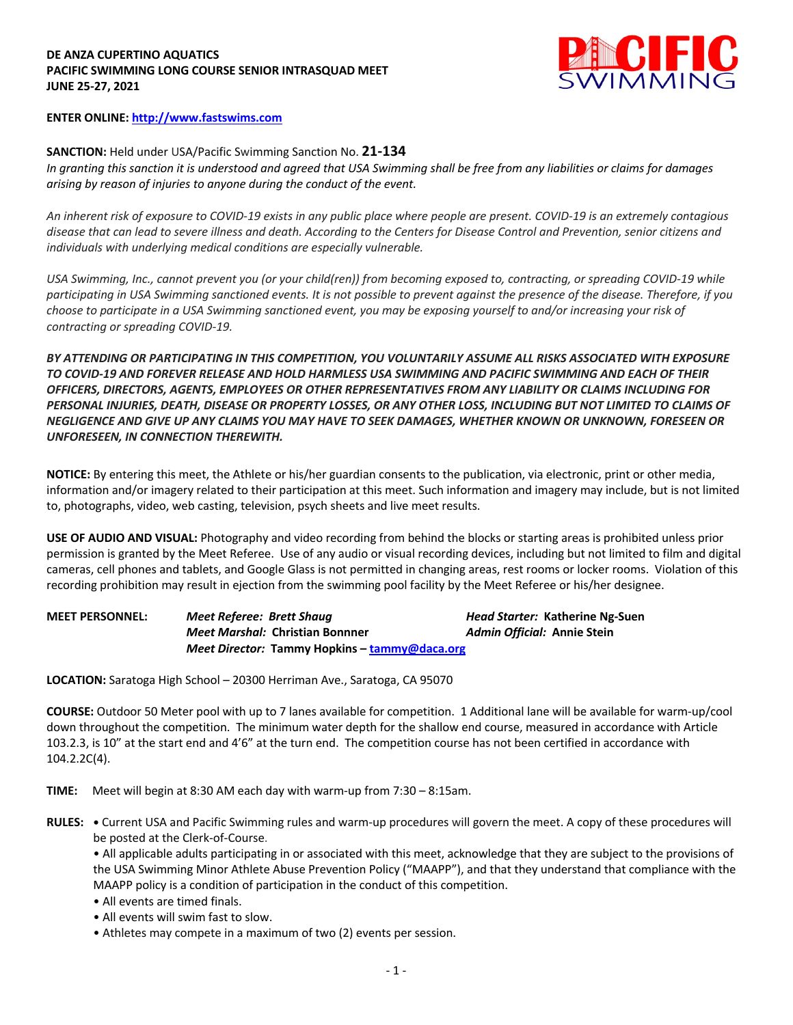## **DE ANZA CUPERTINO AQUATICS PACIFIC SWIMMING LONG COURSE SENIOR INTRASQUAD MEET JUNE 25-27, 2021**



## **ENTER ONLINE: http://www.fastswims.com**

## **SANCTION:** Held under USA/Pacific Swimming Sanction No. **21-134**

*In granting this sanction it is understood and agreed that USA Swimming shall be free from any liabilities or claims for damages arising by reason of injuries to anyone during the conduct of the event.* 

*An inherent risk of exposure to COVID-19 exists in any public place where people are present. COVID-19 is an extremely contagious disease that can lead to severe illness and death. According to the Centers for Disease Control and Prevention, senior citizens and individuals with underlying medical conditions are especially vulnerable.*

*USA Swimming, Inc., cannot prevent you (or your child(ren)) from becoming exposed to, contracting, or spreading COVID-19 while participating in USA Swimming sanctioned events. It is not possible to prevent against the presence of the disease. Therefore, if you choose to participate in a USA Swimming sanctioned event, you may be exposing yourself to and/or increasing your risk of contracting or spreading COVID-19.*

*BY ATTENDING OR PARTICIPATING IN THIS COMPETITION, YOU VOLUNTARILY ASSUME ALL RISKS ASSOCIATED WITH EXPOSURE TO COVID-19 AND FOREVER RELEASE AND HOLD HARMLESS USA SWIMMING AND PACIFIC SWIMMING AND EACH OF THEIR OFFICERS, DIRECTORS, AGENTS, EMPLOYEES OR OTHER REPRESENTATIVES FROM ANY LIABILITY OR CLAIMS INCLUDING FOR PERSONAL INJURIES, DEATH, DISEASE OR PROPERTY LOSSES, OR ANY OTHER LOSS, INCLUDING BUT NOT LIMITED TO CLAIMS OF NEGLIGENCE AND GIVE UP ANY CLAIMS YOU MAY HAVE TO SEEK DAMAGES, WHETHER KNOWN OR UNKNOWN, FORESEEN OR UNFORESEEN, IN CONNECTION THEREWITH.*

**NOTICE:** By entering this meet, the Athlete or his/her guardian consents to the publication, via electronic, print or other media, information and/or imagery related to their participation at this meet. Such information and imagery may include, but is not limited to, photographs, video, web casting, television, psych sheets and live meet results.

**USE OF AUDIO AND VISUAL:** Photography and video recording from behind the blocks or starting areas is prohibited unless prior permission is granted by the Meet Referee. Use of any audio or visual recording devices, including but not limited to film and digital cameras, cell phones and tablets, and Google Glass is not permitted in changing areas, rest rooms or locker rooms. Violation of this recording prohibition may result in ejection from the swimming pool facility by the Meet Referee or his/her designee.

**MEET PERSONNEL:** *Meet Referee: Brett Shaug Head Starter:* **Katherine Ng-Suen** *Meet Marshal:* **Christian Bonnner** *Admin Official:* **Annie Stein** *Meet Director:* **Tammy Hopkins – tammy@daca.org**

**LOCATION:** Saratoga High School – 20300 Herriman Ave., Saratoga, CA 95070

**COURSE:** Outdoor 50 Meter pool with up to 7 lanes available for competition. 1 Additional lane will be available for warm-up/cool down throughout the competition. The minimum water depth for the shallow end course, measured in accordance with Article 103.2.3, is 10" at the start end and 4'6" at the turn end. The competition course has not been certified in accordance with 104.2.2C(4).

**TIME:** Meet will begin at 8:30 AM each day with warm-up from 7:30 – 8:15am.

**RULES: •** Current USA and Pacific Swimming rules and warm-up procedures will govern the meet. A copy of these procedures will be posted at the Clerk-of-Course.

• All applicable adults participating in or associated with this meet, acknowledge that they are subject to the provisions of the USA Swimming Minor Athlete Abuse Prevention Policy ("MAAPP"), and that they understand that compliance with the MAAPP policy is a condition of participation in the conduct of this competition.

- All events are timed finals.
- All events will swim fast to slow.
- Athletes may compete in a maximum of two (2) events per session.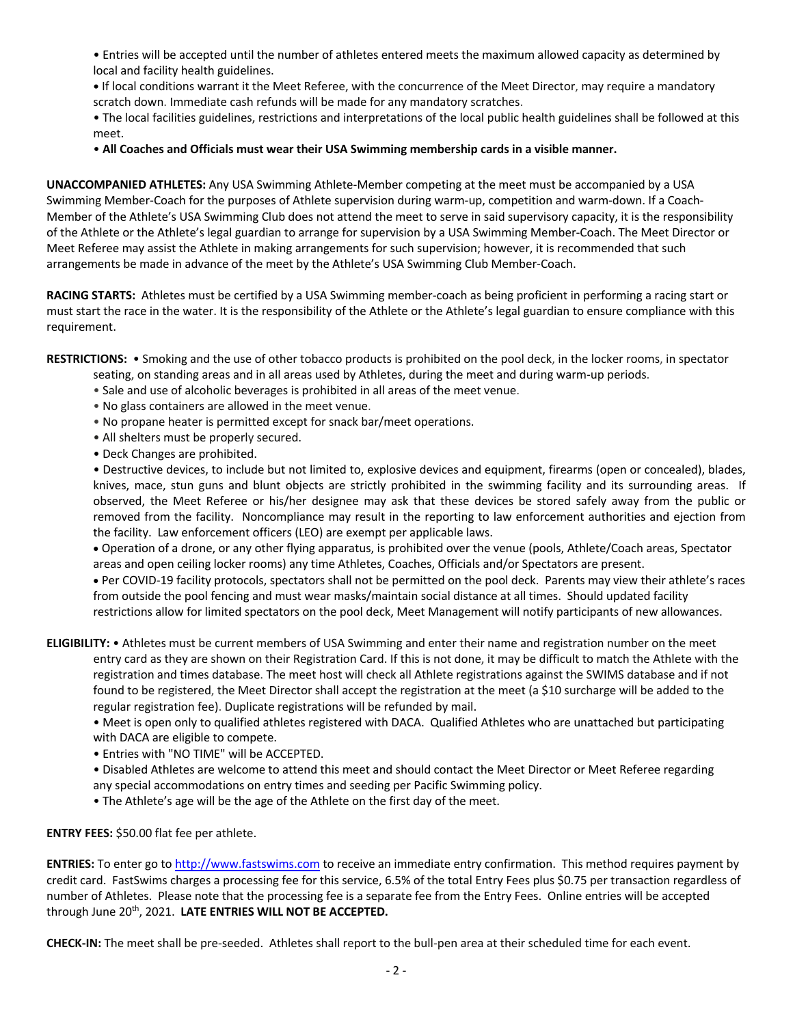• Entries will be accepted until the number of athletes entered meets the maximum allowed capacity as determined by local and facility health guidelines.

**•** If local conditions warrant it the Meet Referee, with the concurrence of the Meet Director, may require a mandatory scratch down. Immediate cash refunds will be made for any mandatory scratches.

• The local facilities guidelines, restrictions and interpretations of the local public health guidelines shall be followed at this meet.

• **All Coaches and Officials must wear their USA Swimming membership cards in a visible manner.** 

**UNACCOMPANIED ATHLETES:** Any USA Swimming Athlete-Member competing at the meet must be accompanied by a USA Swimming Member-Coach for the purposes of Athlete supervision during warm-up, competition and warm-down. If a Coach-Member of the Athlete's USA Swimming Club does not attend the meet to serve in said supervisory capacity, it is the responsibility of the Athlete or the Athlete's legal guardian to arrange for supervision by a USA Swimming Member-Coach. The Meet Director or Meet Referee may assist the Athlete in making arrangements for such supervision; however, it is recommended that such arrangements be made in advance of the meet by the Athlete's USA Swimming Club Member-Coach.

**RACING STARTS:** Athletes must be certified by a USA Swimming member-coach as being proficient in performing a racing start or must start the race in the water. It is the responsibility of the Athlete or the Athlete's legal guardian to ensure compliance with this requirement.

**RESTRICTIONS:** • Smoking and the use of other tobacco products is prohibited on the pool deck, in the locker rooms, in spectator

- seating, on standing areas and in all areas used by Athletes, during the meet and during warm-up periods.
- Sale and use of alcoholic beverages is prohibited in all areas of the meet venue.
- No glass containers are allowed in the meet venue.
- No propane heater is permitted except for snack bar/meet operations.
- All shelters must be properly secured.
- Deck Changes are prohibited.

• Destructive devices, to include but not limited to, explosive devices and equipment, firearms (open or concealed), blades, knives, mace, stun guns and blunt objects are strictly prohibited in the swimming facility and its surrounding areas. If observed, the Meet Referee or his/her designee may ask that these devices be stored safely away from the public or removed from the facility. Noncompliance may result in the reporting to law enforcement authorities and ejection from the facility. Law enforcement officers (LEO) are exempt per applicable laws.

• Operation of a drone, or any other flying apparatus, is prohibited over the venue (pools, Athlete/Coach areas, Spectator areas and open ceiling locker rooms) any time Athletes, Coaches, Officials and/or Spectators are present.

• Per COVID-19 facility protocols, spectators shall not be permitted on the pool deck. Parents may view their athlete's races from outside the pool fencing and must wear masks/maintain social distance at all times. Should updated facility restrictions allow for limited spectators on the pool deck, Meet Management will notify participants of new allowances.

**ELIGIBILITY:** • Athletes must be current members of USA Swimming and enter their name and registration number on the meet entry card as they are shown on their Registration Card. If this is not done, it may be difficult to match the Athlete with the registration and times database. The meet host will check all Athlete registrations against the SWIMS database and if not found to be registered, the Meet Director shall accept the registration at the meet (a \$10 surcharge will be added to the regular registration fee). Duplicate registrations will be refunded by mail.

• Meet is open only to qualified athletes registered with DACA. Qualified Athletes who are unattached but participating with DACA are eligible to compete.

• Entries with "NO TIME" will be ACCEPTED.

• Disabled Athletes are welcome to attend this meet and should contact the Meet Director or Meet Referee regarding any special accommodations on entry times and seeding per Pacific Swimming policy.

• The Athlete's age will be the age of the Athlete on the first day of the meet.

**ENTRY FEES:** \$50.00 flat fee per athlete.

**ENTRIES:** To enter go to http://www.fastswims.com to receive an immediate entry confirmation. This method requires payment by credit card. FastSwims charges a processing fee for this service, 6.5% of the total Entry Fees plus \$0.75 per transaction regardless of number of Athletes. Please note that the processing fee is a separate fee from the Entry Fees. Online entries will be accepted through June 20th, 2021. **LATE ENTRIES WILL NOT BE ACCEPTED.** 

**CHECK-IN:** The meet shall be pre-seeded. Athletes shall report to the bull-pen area at their scheduled time for each event.